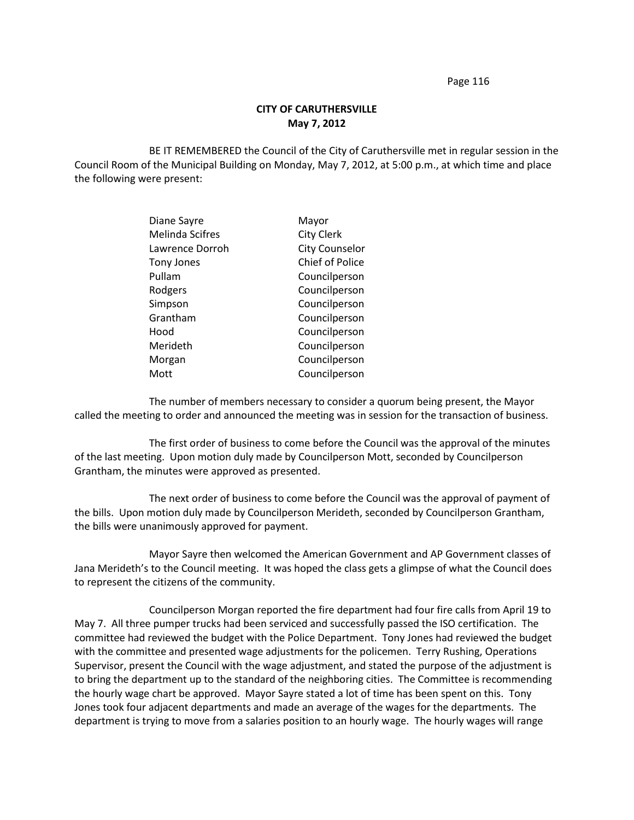## **CITY OF CARUTHERSVILLE May 7, 2012**

BE IT REMEMBERED the Council of the City of Caruthersville met in regular session in the Council Room of the Municipal Building on Monday, May 7, 2012, at 5:00 p.m., at which time and place the following were present:

| Mayor                 |
|-----------------------|
| <b>City Clerk</b>     |
| <b>City Counselor</b> |
| Chief of Police       |
| Councilperson         |
| Councilperson         |
| Councilperson         |
| Councilperson         |
| Councilperson         |
| Councilperson         |
| Councilperson         |
| Councilperson         |
|                       |

The number of members necessary to consider a quorum being present, the Mayor called the meeting to order and announced the meeting was in session for the transaction of business.

The first order of business to come before the Council was the approval of the minutes of the last meeting. Upon motion duly made by Councilperson Mott, seconded by Councilperson Grantham, the minutes were approved as presented.

The next order of business to come before the Council was the approval of payment of the bills. Upon motion duly made by Councilperson Merideth, seconded by Councilperson Grantham, the bills were unanimously approved for payment.

Mayor Sayre then welcomed the American Government and AP Government classes of Jana Merideth's to the Council meeting. It was hoped the class gets a glimpse of what the Council does to represent the citizens of the community.

Councilperson Morgan reported the fire department had four fire calls from April 19 to May 7. All three pumper trucks had been serviced and successfully passed the ISO certification. The committee had reviewed the budget with the Police Department. Tony Jones had reviewed the budget with the committee and presented wage adjustments for the policemen. Terry Rushing, Operations Supervisor, present the Council with the wage adjustment, and stated the purpose of the adjustment is to bring the department up to the standard of the neighboring cities. The Committee is recommending the hourly wage chart be approved. Mayor Sayre stated a lot of time has been spent on this. Tony Jones took four adjacent departments and made an average of the wages for the departments. The department is trying to move from a salaries position to an hourly wage. The hourly wages will range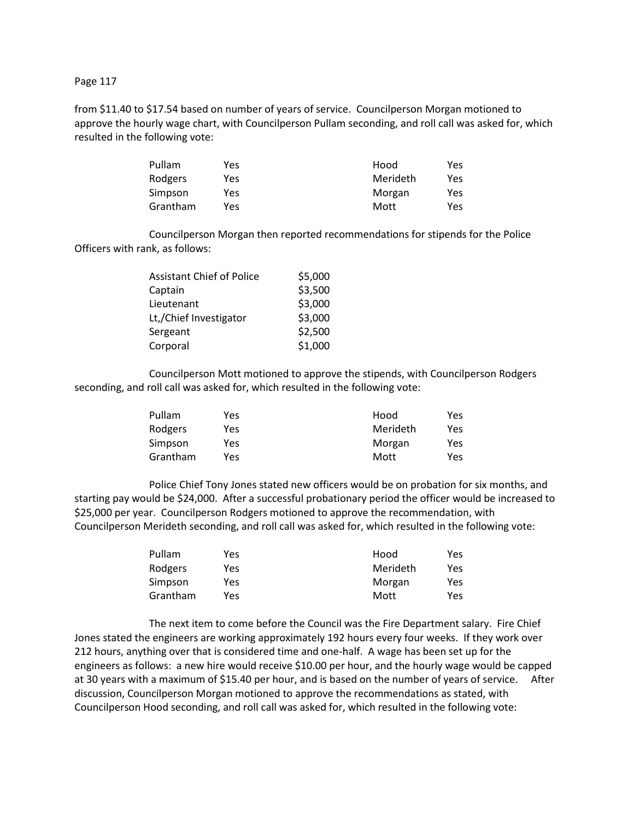from \$11.40 to \$17.54 based on number of years of service. Councilperson Morgan motioned to approve the hourly wage chart, with Councilperson Pullam seconding, and roll call was asked for, which resulted in the following vote:

| Pullam   | Yes | Hood     | Yes |
|----------|-----|----------|-----|
| Rodgers  | Yes | Merideth | Yes |
| Simpson  | Yes | Morgan   | Yes |
| Grantham | Yes | Mott     | Yes |

Councilperson Morgan then reported recommendations for stipends for the Police Officers with rank, as follows:

| <b>Assistant Chief of Police</b> | \$5,000 |
|----------------------------------|---------|
| Captain                          | \$3,500 |
| Lieutenant                       | \$3,000 |
| Lt,/Chief Investigator           | \$3,000 |
| Sergeant                         | \$2,500 |
| Corporal                         | \$1,000 |

Councilperson Mott motioned to approve the stipends, with Councilperson Rodgers seconding, and roll call was asked for, which resulted in the following vote:

| Pullam   | Yes | Hood     | Yes |
|----------|-----|----------|-----|
| Rodgers  | Yes | Merideth | Yes |
| Simpson  | Yes | Morgan   | Yes |
| Grantham | Yes | Mott     | Yes |

Police Chief Tony Jones stated new officers would be on probation for six months, and starting pay would be \$24,000. After a successful probationary period the officer would be increased to \$25,000 per year. Councilperson Rodgers motioned to approve the recommendation, with Councilperson Merideth seconding, and roll call was asked for, which resulted in the following vote:

| Pullam   | Yes. | Hood     | Yes |
|----------|------|----------|-----|
| Rodgers  | Yes  | Merideth | Yes |
| Simpson  | Yes  | Morgan   | Yes |
| Grantham | Yes  | Mott     | Yes |

The next item to come before the Council was the Fire Department salary. Fire Chief Jones stated the engineers are working approximately 192 hours every four weeks. If they work over 212 hours, anything over that is considered time and one-half. A wage has been set up for the engineers as follows: a new hire would receive \$10.00 per hour, and the hourly wage would be capped at 30 years with a maximum of \$15.40 per hour, and is based on the number of years of service. After discussion, Councilperson Morgan motioned to approve the recommendations as stated, with Councilperson Hood seconding, and roll call was asked for, which resulted in the following vote: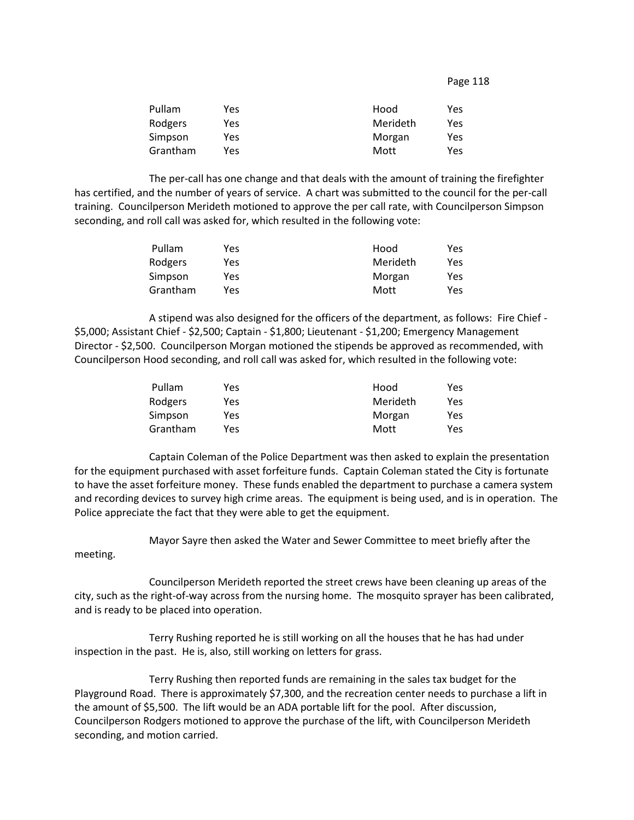| Pullam   | Yes | Hood     | Yes |
|----------|-----|----------|-----|
| Rodgers  | Yes | Merideth | Yes |
| Simpson  | Yes | Morgan   | Yes |
| Grantham | Yes | Mott     | Yes |

The per-call has one change and that deals with the amount of training the firefighter has certified, and the number of years of service. A chart was submitted to the council for the per-call training. Councilperson Merideth motioned to approve the per call rate, with Councilperson Simpson seconding, and roll call was asked for, which resulted in the following vote:

| Pullam   | Yes | Hood     | Yes        |
|----------|-----|----------|------------|
| Rodgers  | Yes | Merideth | <b>Yes</b> |
| Simpson  | Yes | Morgan   | Yes        |
| Grantham | Yes | Mott     | Yes        |

A stipend was also designed for the officers of the department, as follows: Fire Chief - \$5,000; Assistant Chief - \$2,500; Captain - \$1,800; Lieutenant - \$1,200; Emergency Management Director - \$2,500. Councilperson Morgan motioned the stipends be approved as recommended, with Councilperson Hood seconding, and roll call was asked for, which resulted in the following vote:

| Pullam   | Yes | Hood     | Yes |
|----------|-----|----------|-----|
| Rodgers  | Yes | Merideth | Yes |
| Simpson  | Yes | Morgan   | Yes |
| Grantham | Yes | Mott     | Yes |

Captain Coleman of the Police Department was then asked to explain the presentation for the equipment purchased with asset forfeiture funds. Captain Coleman stated the City is fortunate to have the asset forfeiture money. These funds enabled the department to purchase a camera system and recording devices to survey high crime areas. The equipment is being used, and is in operation. The Police appreciate the fact that they were able to get the equipment.

Mayor Sayre then asked the Water and Sewer Committee to meet briefly after the

meeting.

Councilperson Merideth reported the street crews have been cleaning up areas of the city, such as the right-of-way across from the nursing home. The mosquito sprayer has been calibrated, and is ready to be placed into operation.

Terry Rushing reported he is still working on all the houses that he has had under inspection in the past. He is, also, still working on letters for grass.

Terry Rushing then reported funds are remaining in the sales tax budget for the Playground Road. There is approximately \$7,300, and the recreation center needs to purchase a lift in the amount of \$5,500. The lift would be an ADA portable lift for the pool. After discussion, Councilperson Rodgers motioned to approve the purchase of the lift, with Councilperson Merideth seconding, and motion carried.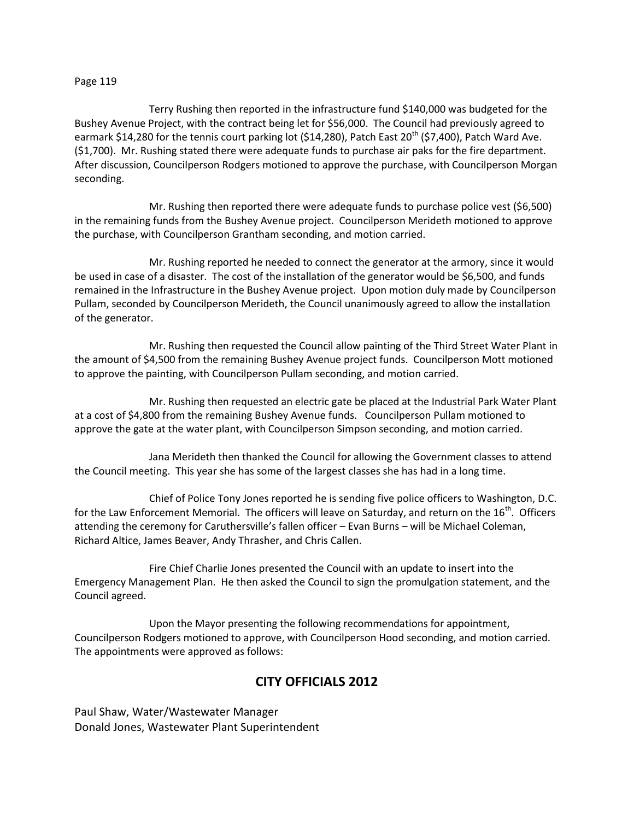Terry Rushing then reported in the infrastructure fund \$140,000 was budgeted for the Bushey Avenue Project, with the contract being let for \$56,000. The Council had previously agreed to earmark \$14,280 for the tennis court parking lot (\$14,280), Patch East  $20^{th}$  (\$7,400), Patch Ward Ave. (\$1,700). Mr. Rushing stated there were adequate funds to purchase air paks for the fire department. After discussion, Councilperson Rodgers motioned to approve the purchase, with Councilperson Morgan seconding.

Mr. Rushing then reported there were adequate funds to purchase police vest (\$6,500) in the remaining funds from the Bushey Avenue project. Councilperson Merideth motioned to approve the purchase, with Councilperson Grantham seconding, and motion carried.

Mr. Rushing reported he needed to connect the generator at the armory, since it would be used in case of a disaster. The cost of the installation of the generator would be \$6,500, and funds remained in the Infrastructure in the Bushey Avenue project. Upon motion duly made by Councilperson Pullam, seconded by Councilperson Merideth, the Council unanimously agreed to allow the installation of the generator.

Mr. Rushing then requested the Council allow painting of the Third Street Water Plant in the amount of \$4,500 from the remaining Bushey Avenue project funds. Councilperson Mott motioned to approve the painting, with Councilperson Pullam seconding, and motion carried.

Mr. Rushing then requested an electric gate be placed at the Industrial Park Water Plant at a cost of \$4,800 from the remaining Bushey Avenue funds. Councilperson Pullam motioned to approve the gate at the water plant, with Councilperson Simpson seconding, and motion carried.

Jana Merideth then thanked the Council for allowing the Government classes to attend the Council meeting. This year she has some of the largest classes she has had in a long time.

Chief of Police Tony Jones reported he is sending five police officers to Washington, D.C. for the Law Enforcement Memorial. The officers will leave on Saturday, and return on the 16<sup>th</sup>. Officers attending the ceremony for Caruthersville's fallen officer – Evan Burns – will be Michael Coleman, Richard Altice, James Beaver, Andy Thrasher, and Chris Callen.

Fire Chief Charlie Jones presented the Council with an update to insert into the Emergency Management Plan. He then asked the Council to sign the promulgation statement, and the Council agreed.

Upon the Mayor presenting the following recommendations for appointment, Councilperson Rodgers motioned to approve, with Councilperson Hood seconding, and motion carried. The appointments were approved as follows:

# **CITY OFFICIALS 2012**

Paul Shaw, Water/Wastewater Manager Donald Jones, Wastewater Plant Superintendent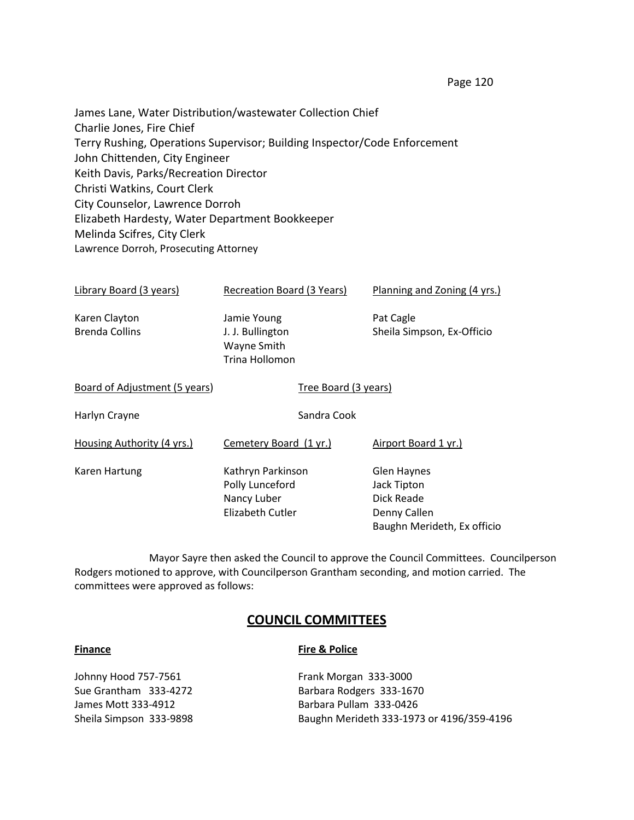James Lane, Water Distribution/wastewater Collection Chief Charlie Jones, Fire Chief Terry Rushing, Operations Supervisor; Building Inspector/Code Enforcement John Chittenden, City Engineer Keith Davis, Parks/Recreation Director Christi Watkins, Court Clerk City Counselor, Lawrence Dorroh Elizabeth Hardesty, Water Department Bookkeeper Melinda Scifres, City Clerk Lawrence Dorroh, Prosecuting Attorney

| Library Board (3 years)                | Recreation Board (3 Years)                                              | Planning and Zoning (4 yrs.)                                                                   |
|----------------------------------------|-------------------------------------------------------------------------|------------------------------------------------------------------------------------------------|
| Karen Clayton<br><b>Brenda Collins</b> | Jamie Young<br>J. J. Bullington<br>Wayne Smith<br>Trina Hollomon        | Pat Cagle<br>Sheila Simpson, Ex-Officio                                                        |
| Board of Adjustment (5 years)          | Tree Board (3 years)                                                    |                                                                                                |
| Harlyn Crayne                          | Sandra Cook                                                             |                                                                                                |
| Housing Authority (4 yrs.)             | Cemetery Board (1 yr.)                                                  | Airport Board 1 yr.)                                                                           |
| <b>Karen Hartung</b>                   | Kathryn Parkinson<br>Polly Lunceford<br>Nancy Luber<br>Elizabeth Cutler | <b>Glen Haynes</b><br>Jack Tipton<br>Dick Reade<br>Denny Callen<br>Baughn Merideth, Ex officio |

Mayor Sayre then asked the Council to approve the Council Committees. Councilperson Rodgers motioned to approve, with Councilperson Grantham seconding, and motion carried. The committees were approved as follows:

## **COUNCIL COMMITTEES**

### **Finance Fire & Police**

| Johnny Hood 757-7561    | Frank Morgan 333-3000                     |
|-------------------------|-------------------------------------------|
| Sue Grantham 333-4272   | Barbara Rodgers 333-1670                  |
| James Mott 333-4912     | Barbara Pullam 333-0426                   |
| Sheila Simpson 333-9898 | Baughn Merideth 333-1973 or 4196/359-4196 |
|                         |                                           |